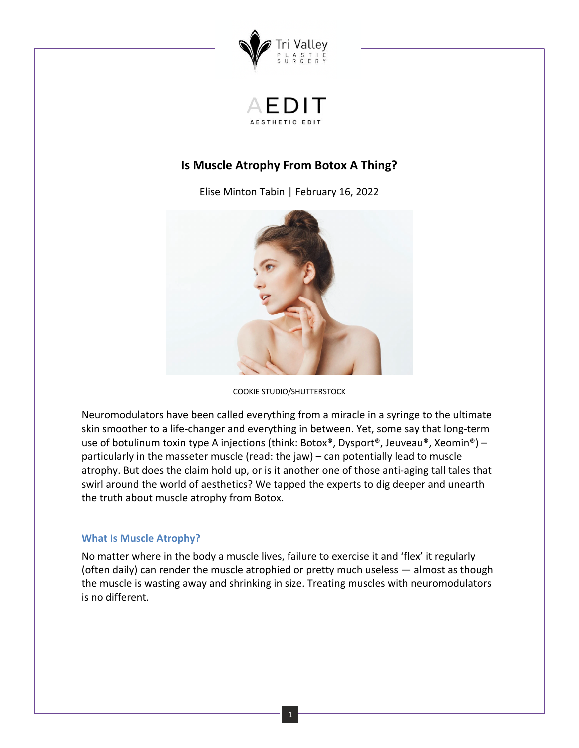

# **Is Muscle Atrophy From Botox A Thing?**

Elise Minton Tabin | February 16, 2022



COOKIE STUDIO/SHUTTERSTOCK

Neuromodulators have been called everything from a miracle in a syringe to the ultimate skin smoother to a life-changer and everything in between. Yet, some say that long-term use of botulinum toxin type A injections (think: Botox®, Dysport®, Jeuveau®, Xeomin®) – particularly in the masseter muscle (read: the jaw) – can potentially lead to muscle atrophy. But does the claim hold up, or is it another one of those anti-aging tall tales that swirl around the world of aesthetics? We tapped the experts to dig deeper and unearth the truth about muscle atrophy from Botox.

# **What Is Muscle Atrophy?**

No matter where in the body a muscle lives, failure to exercise it and 'flex' it regularly (often daily) can render the muscle atrophied or pretty much useless — almost as though the muscle is wasting away and shrinking in size. Treating muscles with neuromodulators is no different.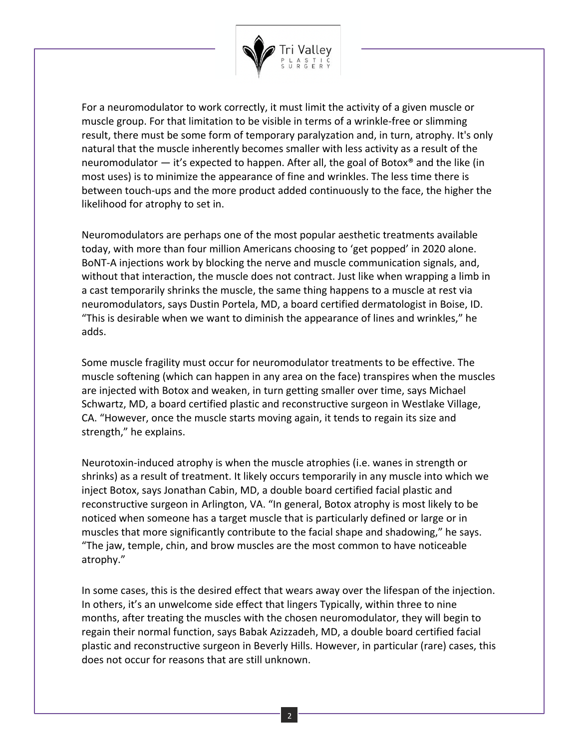

For a neuromodulator to work correctly, it must limit the activity of a given muscle or muscle group. For that limitation to be visible in terms of a wrinkle-free or slimming result, there must be some form of temporary paralyzation and, in turn, atrophy. It's only natural that the muscle inherently becomes smaller with less activity as a result of the neuromodulator — it's expected to happen. After all, the goal of Botox<sup>®</sup> and the like (in most uses) is to minimize the appearance of fine and wrinkles. The less time there is between touch-ups and the more product added continuously to the face, the higher the likelihood for atrophy to set in.

Neuromodulators are perhaps one of the most popular aesthetic treatments available today, with more than four million Americans choosing to 'get popped' in 2020 alone. BoNT-A injections work by blocking the nerve and muscle communication signals, and, without that interaction, the muscle does not contract. Just like when wrapping a limb in a cast temporarily shrinks the muscle, the same thing happens to a muscle at rest via neuromodulators, says Dustin Portela, MD, a board certified dermatologist in Boise, ID. "This is desirable when we want to diminish the appearance of lines and wrinkles," he adds.

Some muscle fragility must occur for neuromodulator treatments to be effective. The muscle softening (which can happen in any area on the face) transpires when the muscles are injected with Botox and weaken, in turn getting smaller over time, says Michael Schwartz, MD, a board certified plastic and reconstructive surgeon in Westlake Village, CA. "However, once the muscle starts moving again, it tends to regain its size and strength," he explains.

Neurotoxin-induced atrophy is when the muscle atrophies (i.e. wanes in strength or shrinks) as a result of treatment. It likely occurs temporarily in any muscle into which we inject Botox, says Jonathan Cabin, MD, a double board certified facial plastic and reconstructive surgeon in Arlington, VA. "In general, Botox atrophy is most likely to be noticed when someone has a target muscle that is particularly defined or large or in muscles that more significantly contribute to the facial shape and shadowing," he says. "The jaw, temple, chin, and brow muscles are the most common to have noticeable atrophy."

In some cases, this is the desired effect that wears away over the lifespan of the injection. In others, it's an unwelcome side effect that lingers Typically, within three to nine months, after treating the muscles with the chosen neuromodulator, they will begin to regain their normal function, says Babak Azizzadeh, MD, a double board certified facial plastic and reconstructive surgeon in Beverly Hills. However, in particular (rare) cases, this does not occur for reasons that are still unknown.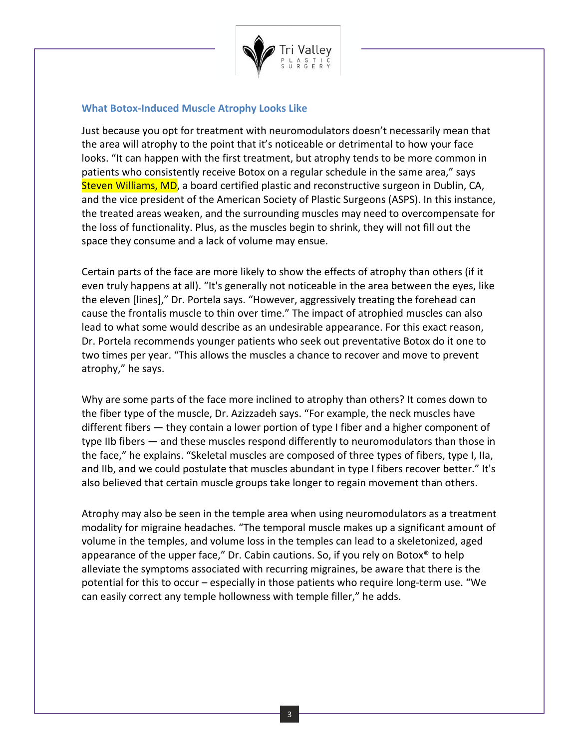

# **What Botox-Induced Muscle Atrophy Looks Like**

Just because you opt for treatment with neuromodulators doesn't necessarily mean that the area will atrophy to the point that it's noticeable or detrimental to how your face looks. "It can happen with the first treatment, but atrophy tends to be more common in patients who consistently receive Botox on a regular schedule in the same area," says Steven Williams, MD, a board certified plastic and reconstructive surgeon in Dublin, CA, and the vice president of the American Society of Plastic Surgeons (ASPS). In this instance, the treated areas weaken, and the surrounding muscles may need to overcompensate for the loss of functionality. Plus, as the muscles begin to shrink, they will not fill out the space they consume and a lack of volume may ensue.

Certain parts of the face are more likely to show the effects of atrophy than others (if it even truly happens at all). "It's generally not noticeable in the area between the eyes, like the eleven [lines]," Dr. Portela says. "However, aggressively treating the forehead can cause the frontalis muscle to thin over time." The impact of atrophied muscles can also lead to what some would describe as an undesirable appearance. For this exact reason, Dr. Portela recommends younger patients who seek out preventative Botox do it one to two times per year. "This allows the muscles a chance to recover and move to prevent atrophy," he says.

Why are some parts of the face more inclined to atrophy than others? It comes down to the fiber type of the muscle, Dr. Azizzadeh says. "For example, the neck muscles have different fibers — they contain a lower portion of type I fiber and a higher component of type IIb fibers — and these muscles respond differently to neuromodulators than those in the face," he explains. "Skeletal muscles are composed of three types of fibers, type I, IIa, and IIb, and we could postulate that muscles abundant in type I fibers recover better." It's also believed that certain muscle groups take longer to regain movement than others.

Atrophy may also be seen in the temple area when using neuromodulators as a treatment modality for migraine headaches. "The temporal muscle makes up a significant amount of volume in the temples, and volume loss in the temples can lead to a skeletonized, aged appearance of the upper face," Dr. Cabin cautions. So, if you rely on Botox<sup>®</sup> to help alleviate the symptoms associated with recurring migraines, be aware that there is the potential for this to occur – especially in those patients who require long-term use. "We can easily correct any temple hollowness with temple filler," he adds.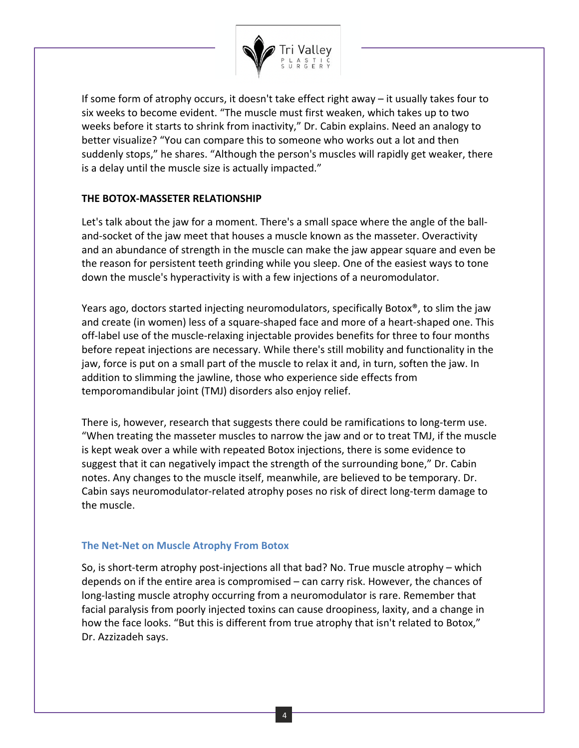

If some form of atrophy occurs, it doesn't take effect right away – it usually takes four to six weeks to become evident. "The muscle must first weaken, which takes up to two weeks before it starts to shrink from inactivity," Dr. Cabin explains. Need an analogy to better visualize? "You can compare this to someone who works out a lot and then suddenly stops," he shares. "Although the person's muscles will rapidly get weaker, there is a delay until the muscle size is actually impacted."

# **THE BOTOX-MASSETER RELATIONSHIP**

Let's talk about the jaw for a moment. There's a small space where the angle of the balland-socket of the jaw meet that houses a muscle known as the masseter. Overactivity and an abundance of strength in the muscle can make the jaw appear square and even be the reason for persistent teeth grinding while you sleep. One of the easiest ways to tone down the muscle's hyperactivity is with a few injections of a neuromodulator.

Years ago, doctors started injecting neuromodulators, specifically Botox®, to slim the jaw and create (in women) less of a square-shaped face and more of a heart-shaped one. This off-label use of the muscle-relaxing injectable provides benefits for three to four months before repeat injections are necessary. While there's still mobility and functionality in the jaw, force is put on a small part of the muscle to relax it and, in turn, soften the jaw. In addition to slimming the jawline, those who experience side effects from temporomandibular joint (TMJ) disorders also enjoy relief.

There is, however, research that suggests there could be ramifications to long-term use. "When treating the masseter muscles to narrow the jaw and or to treat TMJ, if the muscle is kept weak over a while with repeated Botox injections, there is some evidence to suggest that it can negatively impact the strength of the surrounding bone," Dr. Cabin notes. Any changes to the muscle itself, meanwhile, are believed to be temporary. Dr. Cabin says neuromodulator-related atrophy poses no risk of direct long-term damage to the muscle.

# **The Net-Net on Muscle Atrophy From Botox**

So, is short-term atrophy post-injections all that bad? No. True muscle atrophy – which depends on if the entire area is compromised – can carry risk. However, the chances of long-lasting muscle atrophy occurring from a neuromodulator is rare. Remember that facial paralysis from poorly injected toxins can cause droopiness, laxity, and a change in how the face looks. "But this is different from true atrophy that isn't related to Botox," Dr. Azzizadeh says.